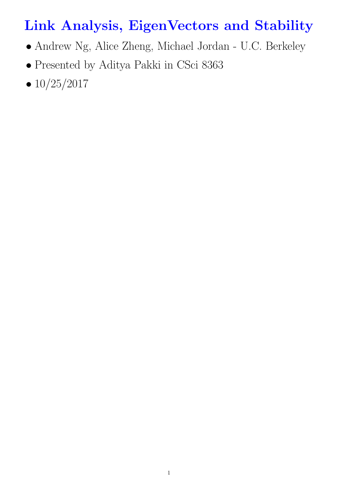# Link Analysis, EigenVectors and Stability

- Andrew Ng, Alice Zheng, Michael Jordan U.C. Berkeley
- Presented by Aditya Pakki in CSci 8363
- $10/25/2017$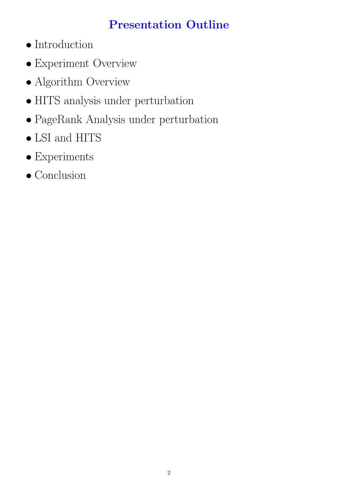# Presentation Outline

- Introduction
- Experiment Overview
- Algorithm Overview
- HITS analysis under perturbation
- PageRank Analysis under perturbation
- LSI and HITS
- $\bullet$  Experiments
- Conclusion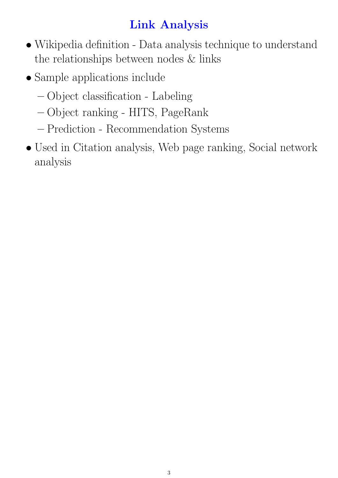# Link Analysis

- Wikipedia definition Data analysis technique to understand the relationships between nodes & links
- Sample applications include
	- Object classification Labeling
	- Object ranking HITS, PageRank
	- Prediction Recommendation Systems
- Used in Citation analysis, Web page ranking, Social network analysis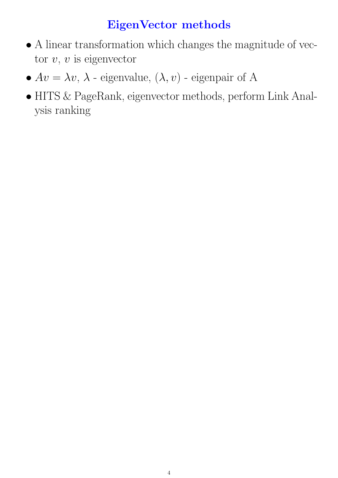# EigenVector methods

- $\bullet$  A linear transformation which changes the magnitude of vector  $v, v$  is eigenvector
- $Av = \lambda v, \lambda$  eigenvalue,  $(\lambda, v)$  eigenpair of A
- HITS & PageRank, eigenvector methods, perform Link Analysis ranking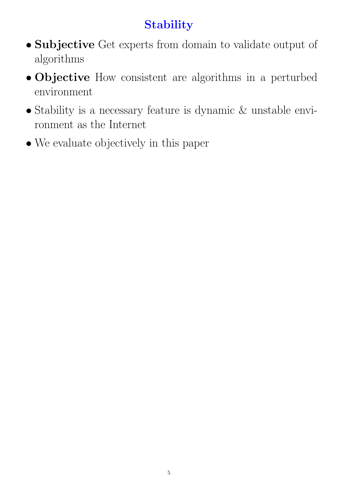# **Stability**

- Subjective Get experts from domain to validate output of algorithms
- Objective How consistent are algorithms in a perturbed environment
- Stability is a necessary feature is dynamic & unstable environment as the Internet
- We evaluate objectively in this paper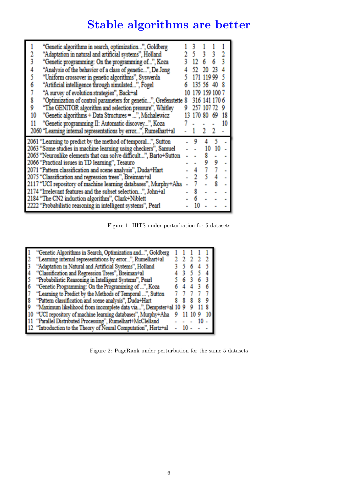# Stable algorithms are better

|    | "Genetic algorithms in search, optimization", Goldberg            |        |             |    |    |
|----|-------------------------------------------------------------------|--------|-------------|----|----|
|    | "Adaptation in natural and artificial systems", Holland           |        |             |    |    |
|    | "Genetic programming: On the programming of", Koza                |        |             |    |    |
|    | "Analysis of the behavior of a class of genetic", De Jong         |        |             |    |    |
|    | "Uniform crossover in genetic algorithms", Syswerda               |        | 119 99      |    |    |
|    | "Artificial intelligence through simulated", Fogel                | 135.56 |             |    |    |
|    | "A survey of evolution strategies", Back+al                       |        | 179 159 100 |    |    |
|    | "Optimization of control parameters for genetic", Grefenstette 8  |        | 316 141 1   |    |    |
| 9  | "The GENITOR algorithm and selection pressure", Whitley           | 257    | 107         |    |    |
| 10 | "Genetic algorithms + Data Structures = ", Michalewicz            |        |             |    | 18 |
| 11 | "Genetic programming II: Automatic discovey  ", Koza              |        |             |    | 10 |
|    | 2060 "Learning internal representations by error", Rumelhart+al   |        |             |    |    |
|    | 2061 "Learning to predict by the method of temporal", Sutton      | ٥      |             |    |    |
|    | 2063 "Some studies in machine learning using checkers", Samuel    |        | 10          | 10 |    |
|    | 2065 "Neuronlike elements that can solve difficult", Barto+Sutton |        |             |    |    |
|    | 2066 "Practical issues in TD learning", Tesauro                   |        |             |    |    |
|    | 2071 "Pattern classification and scene analysis", Duda+Hart       |        |             |    |    |
|    | 2075 "Classification and regression trees", Breiman+al            |        |             |    |    |
|    | 2117 "UCI repository of machine learning databases", Murphy+Aha   |        |             |    |    |
|    | 2174 "Irrelevant features and the subset selection", John+al      |        |             |    |    |
|    | 2184 "The CN2 induction algorithm", Clark+Niblett                 |        |             |    |    |
|    | 2222 "Probabilistic reasoning in intelligent systems", Pearl      |        |             |    |    |

Figure 1: HITS under perturbation for 5 datasets

|                  | "Genetic Algorithms in Search, Optimization and", Goldberg      |  |  |  |
|------------------|-----------------------------------------------------------------|--|--|--|
|                  | "Learning internal representations by error", Rumelhart+al      |  |  |  |
|                  | "Adaptation in Natural and Artificial Systems", Holland         |  |  |  |
|                  | "Classification and Regression Trees", Breiman+al               |  |  |  |
|                  | "Probabilistic Reasoning in Intelligent Systems", Pearl         |  |  |  |
|                  | "Genetic Programming: On the Programming of ", Koza             |  |  |  |
|                  | "Learning to Predict by the Methods of Temporal ", Sutton       |  |  |  |
| $\boldsymbol{S}$ | "Pattern classification and scene analysis", Duda+Hart          |  |  |  |
| 9                | "Maximum likelihood from incomplete data via", Dempster+al 10 9 |  |  |  |
|                  | "UCI repository of machine learning databases", Murphy+Aha      |  |  |  |
|                  | "Parallel Distributed Processing", Rumelhart+McClelland         |  |  |  |
|                  | 12 "Introduction to the Theory of Neural Computation", Hertz+al |  |  |  |

Figure 2: PageRank under perturbation for the same 5 datasets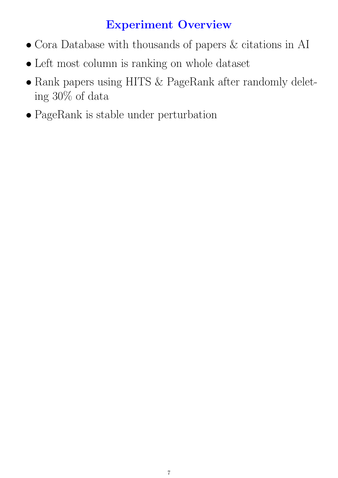### Experiment Overview

- Cora Database with thousands of papers & citations in AI
- Left most column is ranking on whole dataset
- Rank papers using HITS & PageRank after randomly deleting 30% of data
- PageRank is stable under perturbation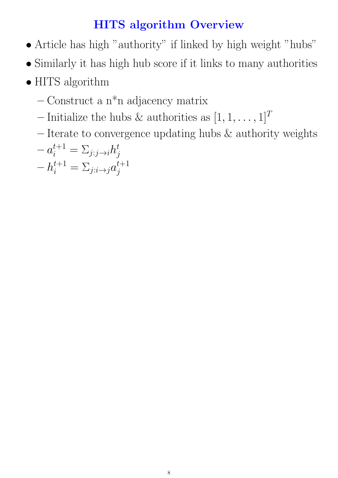# HITS algorithm Overview

- $\bullet$  Article has high "authority" if linked by high weight "hubs"
- $\bullet$  Similarly it has high hub score if it links to many authorities
- HITS algorithm
	- $-$  Construct a n<sup>\*</sup>n adjacency matrix
	- Initialize the hubs & authorities as  $[1, 1, \ldots, 1]^T$
	- Iterate to convergence updating hubs & authority weights

$$
-a_i^{t+1} = \sum_{j:j \to i} h_j^t
$$
  
-
$$
h_i^{t+1} = \sum_{j:i \to j} a_j^{t+1}
$$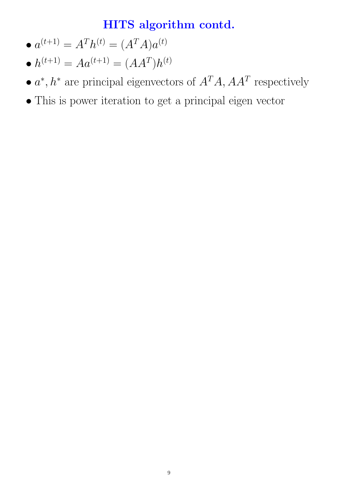### HITS algorithm contd.

- $\bullet~a^{(t+1)}=A^Th^{(t)}=(A^TA)a^{(t)}$
- $\bullet~h^{(t+1)}=Aa^{(t+1)}=(AA^T)h^{(t)}$
- $a^*$ ,  $h^*$  are principal eigenvectors of  $A^T A$ ,  $A A^T$  respectively
- This is power iteration to get a principal eigen vector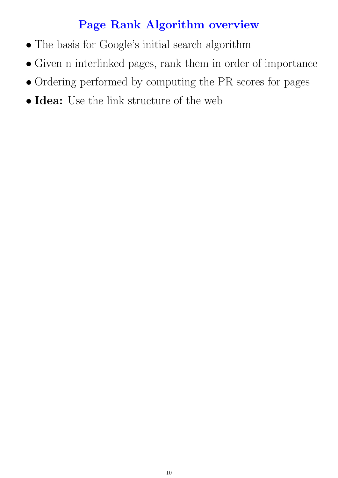### Page Rank Algorithm overview

- The basis for Google's initial search algorithm
- Given n interlinked pages, rank them in order of importance
- Ordering performed by computing the PR scores for pages
- Idea: Use the link structure of the web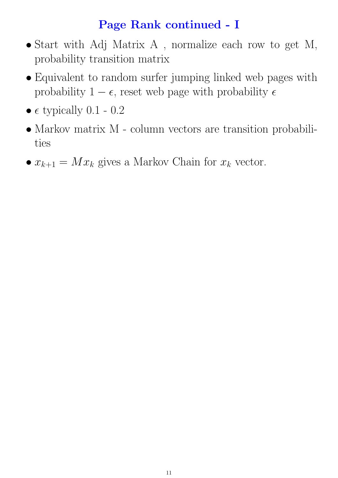### Page Rank continued - I

- Start with Adj Matrix A , normalize each row to get M, probability transition matrix
- Equivalent to random surfer jumping linked web pages with probability  $1 - \epsilon$ , reset web page with probability  $\epsilon$
- $\epsilon$  typically 0.1 0.2
- Markov matrix M column vectors are transition probabilities
- $x_{k+1} = Mx_k$  gives a Markov Chain for  $x_k$  vector.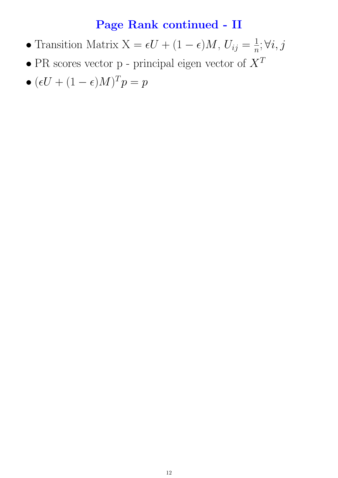### Page Rank continued - II

- Transition Matrix  $X = \epsilon U + (1 \epsilon)M$ ,  $U_{ij} = \frac{1}{n}$  $\frac{1}{n}; \forall i, j$
- $\bullet$  PR scores vector p principal eigen vector of  $X^T$
- $\bullet$   $(\epsilon U + (1 \epsilon)M)^T p = p$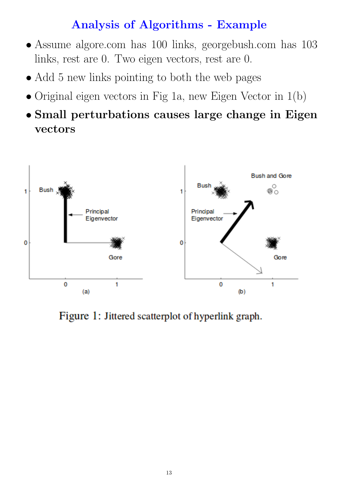### Analysis of Algorithms - Example

- Assume algore.com has 100 links, georgebush.com has 103 links, rest are 0. Two eigen vectors, rest are 0.
- Add 5 new links pointing to both the web pages
- Original eigen vectors in Fig 1a, new Eigen Vector in 1(b)
- Small perturbations causes large change in Eigen vectors



Figure 1: Jittered scatterplot of hyperlink graph.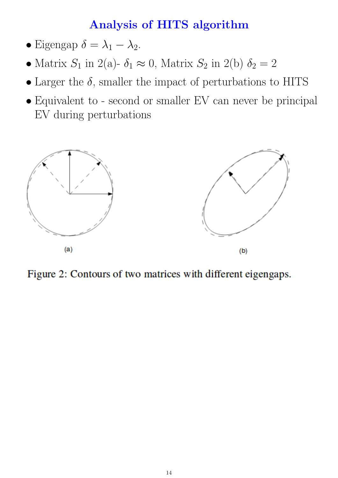### Analysis of HITS algorithm

- Eigengap  $\delta = \lambda_1 \lambda_2$ .
- Matrix  $S_1$  in 2(a)-  $\delta_1 \approx 0$ , Matrix  $S_2$  in 2(b)  $\delta_2 = 2$
- Larger the  $\delta$ , smaller the impact of perturbations to HITS
- Equivalent to second or smaller EV can never be principal EV during perturbations



Figure 2: Contours of two matrices with different eigengaps.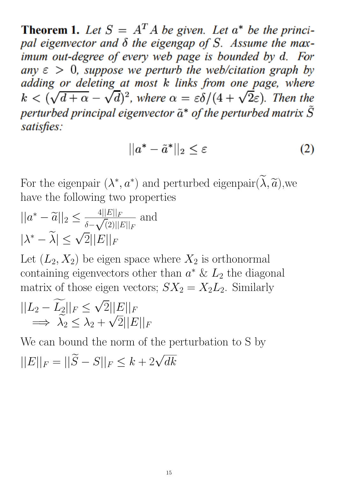**Theorem 1.** Let  $S = A^T A$  be given. Let  $a^*$  be the principal eigenvector and  $\delta$  the eigengap of S. Assume the maximum out-degree of every web page is bounded by d. For any  $\varepsilon > 0$ , suppose we perturb the web/citation graph by adding or deleting at most k links from one page, where  $k < (\sqrt{d+\alpha} - \sqrt{d})^2$ , where  $\alpha = \varepsilon \delta/(4 + \sqrt{2}\varepsilon)$ . Then the perturbed principal eigenvector  $\tilde{a}^*$  of the perturbed matrix  $\tilde{S}$ satisfies:

$$
||a^* - \tilde{a}^*||_2 \le \varepsilon \tag{2}
$$

For the eigenpair  $(\lambda^*, a^*)$  and perturbed eigenpair $(\tilde{\lambda}, \tilde{a})$ , we have the following two properties have the following two properties

$$
||a^* - \widetilde{a}||_2 \le \frac{4||E||_F}{\delta - \sqrt{2}||E||_F}
$$
 and  

$$
|\lambda^* - \widetilde{\lambda}| \le \sqrt{2}||E||_F
$$

Let  $(L_2, X_2)$  be eigen space where  $X_2$  is orthonormal containing eigenvectors other than  $a^* \& L_2$  the diagonal matrix of those eigen vectors;  $SX_2 = X_2L_2$ . Similarly

$$
||L_2 - \widetilde{L_2}||_F \le \sqrt{2}||E||_F
$$
  

$$
\implies \widetilde{\lambda_2} \le \lambda_2 + \sqrt{2}||E||_F
$$

We can bound the norm of the perturbation to S by  $||E||_F = ||\widetilde{S} - S||_F \le k + 2\sqrt{2}$  $dk$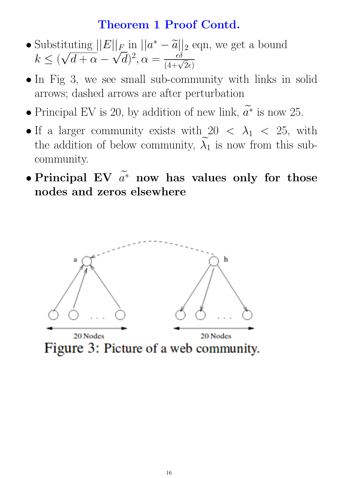#### Theorem 1 Proof Contd.

- Substituting  $||E||_F$  in  $||a^* \tilde{a}||_2$  eqn, we get a bound<br> $k \leq (c/d + \alpha \sqrt{d})^2$  $k \leq (\sqrt{d+\alpha} - \sqrt{d})^2, \alpha = \frac{\epsilon \delta}{(4+\sqrt{2}\epsilon)}$
- In Fig 3, we see small sub-community with links in solid arrows; dashed arrows are after perturbation
- Principal EV is 20, by addition of new link,  $a^*$  is now 25.
- If a larger community exists with  $20 < \lambda_1 < 25$ , with the addition of below community,  $\lambda_1$  is now from this subcommunity.
- Principal EV  $\widetilde{a^*}$  now has values only for those nodes and zeros elsewhere

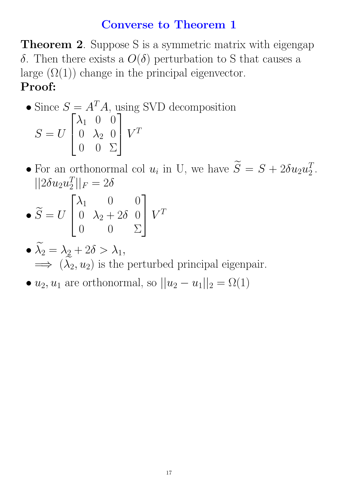#### Converse to Theorem 1

**Theorem 2.** Suppose S is a symmetric matrix with eigengap δ. Then there exists a  $O(δ)$  perturbation to S that causes a large  $(\Omega(1))$  change in the principal eigenvector. Proof:

• Since 
$$
S = A^T A
$$
, using SVD decomposition  
\n
$$
S = U \begin{bmatrix} \lambda_1 & 0 & 0 \\ 0 & \lambda_2 & 0 \\ 0 & 0 & \Sigma \end{bmatrix} V^T
$$

• For an orthonormal col  $u_i$  in U, we have  $\widetilde{S} = S + 2\delta u_2 u_2^T$  $\frac{T}{2}$ .  $||2\delta u_2 u_2^T$  $\frac{T}{2}||_F = 2\delta$ 

$$
\bullet \ \widetilde{S} = U \begin{bmatrix} \lambda_1 & 0 & 0 \\ 0 & \lambda_2 + 2\delta & 0 \\ 0 & 0 & \Sigma \end{bmatrix} V^T
$$

• 
$$
\widetilde{\lambda}_2 = \lambda_2 + 2\delta > \lambda_1
$$
,  
\n $\implies (\widetilde{\lambda}_2, u_2)$  is the perturbed principal eigenpair.

•  $u_2, u_1$  are orthonormal, so  $||u_2 - u_1||_2 = \Omega(1)$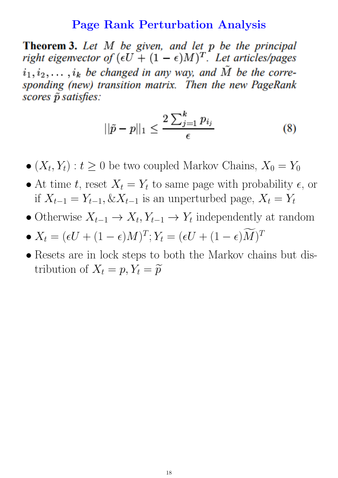#### Page Rank Perturbation Analysis

**Theorem 3.** Let  $M$  be given, and let  $p$  be the principal right eigenvector of  $(\epsilon U + (1 - \epsilon)M)^T$ . Let articles/pages  $i_1, i_2, \ldots, i_k$  be changed in any way, and  $\tilde{M}$  be the corresponding (new) transition matrix. Then the new PageRank scores  $\tilde{p}$  satisfies:

$$
||\tilde{p} - p||_1 \le \frac{2\sum_{j=1}^k p_{i_j}}{\epsilon} \tag{8}
$$

- $(X_t, Y_t) : t \geq 0$  be two coupled Markov Chains,  $X_0 = Y_0$
- At time t, reset  $X_t = Y_t$  to same page with probability  $\epsilon$ , or if  $X_{t-1} = Y_{t-1}, \& X_{t-1}$  is an unperturbed page,  $X_t = Y_t$
- Otherwise  $X_{t-1} \to X_t, Y_{t-1} \to Y_t$  independently at random
- $X_t = (\epsilon U + (1 \epsilon)M)^T; Y_t = (\epsilon U + (1 \epsilon)M)^T$
- Resets are in lock steps to both the Markov chains but distribution of  $X_t = p, Y_t = \widetilde{p}$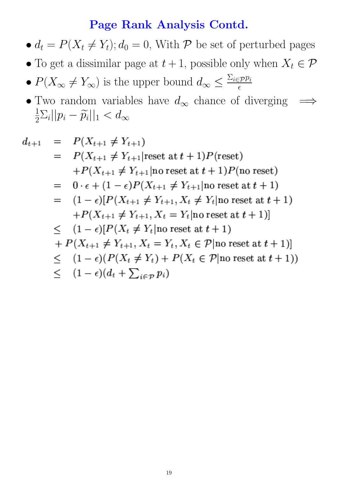#### Page Rank Analysis Contd.

- $d_t = P(X_t \neq Y_t); d_0 = 0$ , With P be set of perturbed pages
- To get a dissimilar page at  $t + 1$ , possible only when  $X_t \in \mathcal{P}$
- $P(X_{\infty} \neq Y_{\infty})$  is the upper bound  $d_{\infty} \leq \frac{\sum_i \in \mathcal{P}p_i}{\epsilon}$  $\epsilon$
- Two random variables have  $d_{\infty}$  chance of diverging  $\implies$ 1  $\frac{1}{2}\sum_i||p_i-\widetilde{p}_i||_1 < d_{\infty}$

$$
d_{t+1} = P(X_{t+1} \neq Y_{t+1})
$$
  
\n
$$
= P(X_{t+1} \neq Y_{t+1} | \text{reset at } t+1) P(\text{reset})
$$
  
\n
$$
+ P(X_{t+1} \neq Y_{t+1} | \text{no reset at } t+1) P(\text{no reset})
$$
  
\n
$$
= 0 \cdot \epsilon + (1 - \epsilon) P(X_{t+1} \neq Y_{t+1} | \text{no reset at } t+1)
$$
  
\n
$$
= (1 - \epsilon) [P(X_{t+1} \neq Y_{t+1}, X_t \neq Y_t | \text{no reset at } t+1)
$$
  
\n
$$
+ P(X_{t+1} \neq Y_{t+1}, X_t = Y_t | \text{no reset at } t+1)]
$$
  
\n
$$
\leq (1 - \epsilon) [P(X_t \neq Y_t | \text{no reset at } t+1)
$$
  
\n
$$
+ P(X_{t+1} \neq Y_{t+1}, X_t = Y_t, X_t \in P | \text{no reset at } t+1)]
$$
  
\n
$$
\leq (1 - \epsilon) (P(X_t \neq Y_t) + P(X_t \in P | \text{no reset at } t+1))
$$
  
\n
$$
\leq (1 - \epsilon) (d_t + \sum_{i \in P} p_i)
$$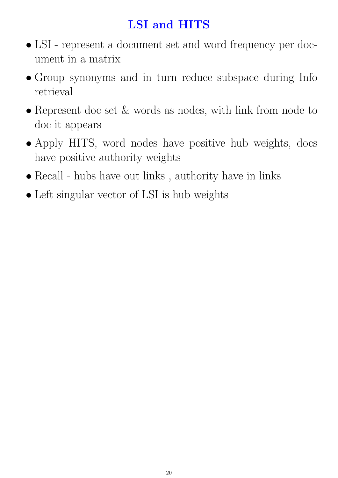# LSI and HITS

- LSI represent a document set and word frequency per document in a matrix
- Group synonyms and in turn reduce subspace during Info retrieval
- Represent doc set  $&$  words as nodes, with link from node to doc it appears
- Apply HITS, word nodes have positive hub weights, docs have positive authority weights
- Recall hubs have out links, authority have in links
- Left singular vector of LSI is hub weights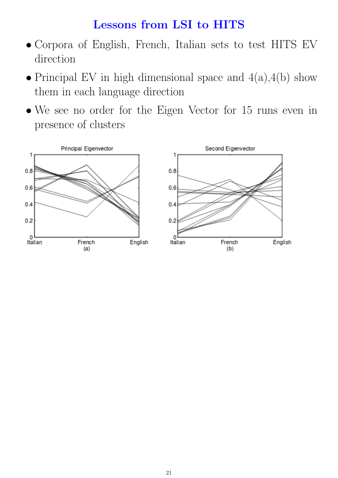### Lessons from LSI to HITS

- Corpora of English, French, Italian sets to test HITS EV direction
- Principal EV in high dimensional space and  $4(a)$ ,  $4(b)$  show them in each language direction
- We see no order for the Eigen Vector for 15 runs even in presence of clusters

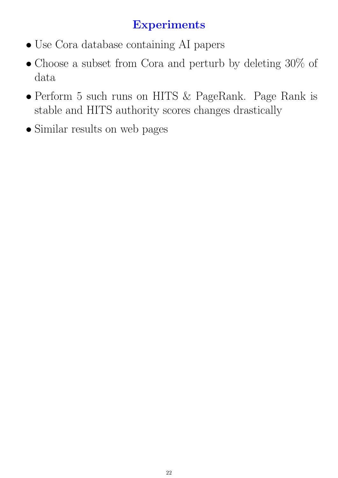# **Experiments**

- Use Cora database containing AI papers
- Choose a subset from Cora and perturb by deleting 30% of data
- Perform 5 such runs on HITS & PageRank. Page Rank is stable and HITS authority scores changes drastically
- Similar results on web pages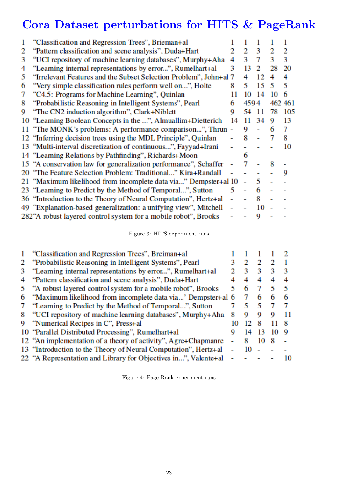# Cora Dataset perturbations for HITS & PageRank

| 1 | "Classification and Regression Trees", Brieman+al                 |    |      |    |    |         |
|---|-------------------------------------------------------------------|----|------|----|----|---------|
| 2 | "Pattern classification and scene analysis", Duda+Hart            |    | 2    | 3  | 2  | 2       |
| 3 | "UCI repository of machine learning databases", Murphy+Aha        | 4  | З    | 7  | ٩  | 3       |
| 4 | "Leaming internal representations by error", Rumelhart+al         | 3  | 13   |    | 28 | 20      |
| 5 | "Irrelevant Features and the Subset Selection Problem", John+al 7 |    |      | 12 | 4  | 4       |
| 6 | "Very simple classification rules perform well on", Holte         | 8  | 5    | 15 |    | 5       |
| 7 | "C4.5: Programs for Machine Learning", Quinlan                    |    | 10   |    | 10 | 6       |
| 8 | "Probabilistic Reasoning in Intelligent Systems", Pearl           | 6  | 4594 |    |    | 462 461 |
| 9 | "The CN2 induction algorithm", Clark+Niblett                      | 9  | 54   |    | 78 | 105     |
|   | 10 "Leaming Boolean Concepts in the ", Almuallim+Dietterich       | 14 | 11   | 34 | 9  | 13      |
|   | 11 "The MONK's problems: A performance comparison", Thrun -       |    | Q    |    |    | 7       |
|   | 12 "Inferring decision trees using the MDL Principle", Quinlan    |    | 8    |    |    | 8       |
|   | 13 "Multi-interval discretization of continuous", Fayyad+Irani    |    |      |    |    | 10      |
|   | 14 "Leaming Relations by Pathfinding", Richards+Moon              |    | 6    |    |    |         |
|   | 15 "A conservation law for generalization performance", Schaffer  |    |      |    | 8  |         |
|   | 20 "The Feature Selection Problem: Traditional" Kira+Randall      |    |      |    |    | 9       |
|   | 21 "Maximum likelihood from incomplete data via" Dempster+al 10   |    |      | 5  |    |         |
|   | 23 "Leaming to Predict by the Method of Temporal", Sutton         | 5  |      | 6  |    |         |
|   | 36 "Introduction to the Theory of Neural Computation", Hertz+al   |    |      | 8  |    |         |
|   | 49 "Explanation-based generalization: a unifying view", Mitchell  |    |      | 10 |    |         |
|   | 282"A robust layered control system for a mobile robot", Brooks   |    |      | 9  |    |         |

Figure 3: HITS experiment runs

|   | "Classification and Regression Trees", Breiman+al                            |   |    |    |    |
|---|------------------------------------------------------------------------------|---|----|----|----|
|   | "Probabilistic Reasoning in Intelligent Systems", Pearl                      |   |    |    |    |
| 3 | "Leaming internal representations by error", Rumelhart+al                    |   |    | ٦  |    |
| 4 | "Pattem classification and scene analysis", Duda+Hart                        |   | 4  | 4  |    |
|   | "A robust layered control system for a mobile robot", Brooks                 | 5 | 6  |    | 5  |
| 6 | "Maximum likelihood from incomplete data via" Dempster+al 6                  |   |    | 6  | 6  |
|   | "Leaming to Predict by the Method of Temporal", Sutton                       |   |    |    |    |
| 8 | "UCI repository of machine learning databases", Murphy+Aha                   | 8 | 9  | 9  |    |
| 9 | "Numerical Recipes in C", Press+al                                           |   |    | ×  |    |
|   | 10 "Parallel Distributed Processing", Rumelhart+al                           |   | 14 |    | 9  |
|   | 12 "An implementation of a theory of activity", Agre+Chapmanre               |   |    | 10 |    |
|   | 13 "Introduction to the Theory of Neural Computation", Hertz+al              |   | 10 |    |    |
|   | 22 "A Representation and Library for Objectives in", Valente <sup>+</sup> al |   |    |    | 10 |
|   |                                                                              |   |    |    |    |

Figure 4: Page Rank experiment runs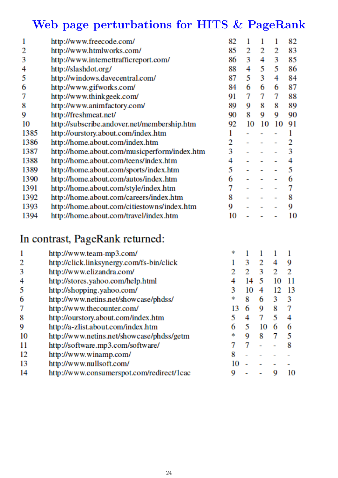# Web page perturbations for HITS & PageRank

| 1    | http://www.freecode.com/                     | 82 |    |    |    | 82 |
|------|----------------------------------------------|----|----|----|----|----|
| 2    | http://www.htmlworks.com/                    | 85 | 2  | 2  | 2  | 83 |
| 3    | http://www.intemettrafficreport.com/         | 86 | 3  | 4  | 3  | 85 |
| 4    | http://slashdot.org/                         | 88 | 4  | 5. | 5  | 86 |
| 5    | http://windows.davecentral.com/              | 87 | 5. | 3  | 4  | 84 |
| 6    | http://www.gifworks.com/                     | 84 | 6  | 6  | 6  | 87 |
| 7    | http://www.thinkgeek.com/                    | 91 | 7  | 7  | 7  | 88 |
| 8    | http://www.animfactory.com/                  | 89 | 9  | 8  | 8  | 89 |
| 9    | http://freshmeat.net/                        | 90 | 8  | 9  | 9  | 90 |
| 10   | http://subscribe.andover.net/membership.htm  | 92 | 10 | 10 | 10 | 91 |
| 1385 | http://ourstory.about.com/index.htm          |    |    |    |    |    |
| 1386 | http://home.about.com/index.htm              | 2  |    |    |    |    |
| 1387 | http://home.about.com/musicperform/index.htm | 3  |    |    |    | 3  |
| 1388 | http://home.about.com/teens/index.htm        | 4  |    |    |    | 4  |
| 1389 | http://home.about.com/sports/index.htm       | 5  |    |    |    | 5  |
| 1390 | http://home.about.com/autos/index.htm        | 6  |    |    |    | 6  |
| 1391 | http://home.about.com/style/index.htm        | 7  |    |    |    |    |
| 1392 | http://home.about.com/careers/index.htm      | 8  |    |    |    | 8  |
| 1393 | http://home.about.com/citiestowns/index.htm  | 9  |    |    |    | 9  |
| 1394 | http://home.about.com/travel/index.htm       | 10 |    |    |    | 10 |
|      |                                              |    |    |    |    |    |

# In contrast, PageRank returned:

|    | http://www.team-mp3.com/                  | 宋  |    |    |    |    |
|----|-------------------------------------------|----|----|----|----|----|
| 2  | http://click.linksynergy.com/fs-bin/click |    | 3  | 2  | 4  | 9  |
| 3  | http://www.elizandra.com/                 |    |    |    |    |    |
| 4  | http://stores.yahoo.com/help.html         |    | 14 |    | 10 |    |
| 5  | http://shopping.yahoo.com/                |    | 10 | 4  | 12 | 13 |
| 6  | http://www.netins.net/showcase/phdss/     | 宋  | 8  | 6  | 3  | 3  |
| 7  | http://www.thecounter.com/                | 13 | 6  | 9  |    |    |
| 8  | http://ourstory.about.com/index.htm       |    |    |    |    |    |
| 9  | http://a-zlist.about.com/index.htm        | 6  | 5  | 10 |    |    |
| 10 | http://www.netins.net/showcase/phdss/getm |    | 9  | 8  |    |    |
| 11 | http://software.mp3.com/software/         |    |    |    |    |    |
| 12 | http://www.winamp.com/                    | 8  |    |    |    |    |
| 13 | http://www.nullsoft.com/                  | 10 |    |    |    |    |
| 14 | http://www.consumerspot.com/redirect/1cac | 9  |    |    |    | 10 |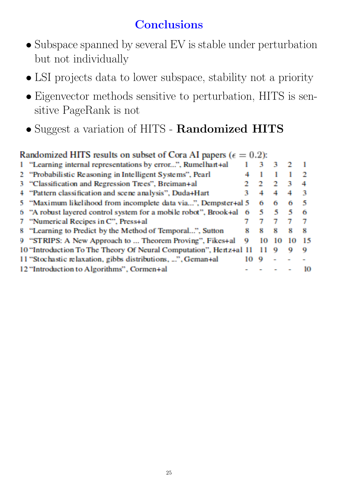# **Conclusions**

- Subspace spanned by several EV is stable under perturbation but not individually
- LSI projects data to lower subspace, stability not a priority
- Eigenvector methods sensitive to perturbation, HITS is sensitive PageRank is not
- Suggest a variation of HITS Randomized HITS

| Randomized HITS results on subset of Cora AI papers ( $\epsilon = 0.2$ ): |   |    |         |    |      |  |  |  |
|---------------------------------------------------------------------------|---|----|---------|----|------|--|--|--|
| 1 "Learning internal representations by error", Rumelhart +al             |   |    | - 31    |    |      |  |  |  |
| 2 "Probabilistic Reasoning in Intelligent Systems", Pearl                 |   |    |         |    |      |  |  |  |
| 3 "Classification and Regression Trees", Breiman+al                       |   |    |         | P, | 4    |  |  |  |
| 4 "Pattern classification and scene analysis", Duda+Hart                  | ъ |    |         |    | ч    |  |  |  |
| 5 "Maximum likelihood from incomplete data via", Dempster+al 5            |   | 61 | 6.      | 6  | -5   |  |  |  |
| 6 "A robust layered control system for a mobile robot", Brook+al 6        |   | -5 | - 5 - 5 |    | 6    |  |  |  |
| 7 "Numerical Recipes in C", Press+al                                      |   |    |         |    |      |  |  |  |
| 8 "Learning to Predict by the Method of Temporal", Sutton                 | я | х. | ×.      | 8  | 8    |  |  |  |
| 9 "STRIPS: A New Approach to  Theorem Proving", Fikes+al                  | 9 | 10 | 10      | 10 | - 15 |  |  |  |
| 10 "Introduction To The Theory Of Neural Computation", Hertz+al 11        |   |    | o       | o  | 9    |  |  |  |
| 11 "Stochastic relaxation, gibbs distributions, ", Geman+al               |   | o  |         |    |      |  |  |  |
| 12 "Introduction to Algorithms", Cormen+al                                |   |    |         |    | 10   |  |  |  |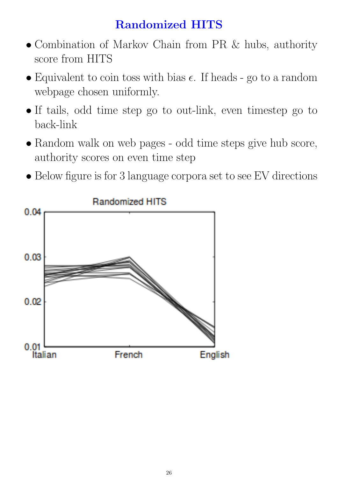# Randomized HITS

- Combination of Markov Chain from PR & hubs, authority score from HITS
- Equivalent to coin toss with bias  $\epsilon$ . If heads go to a random webpage chosen uniformly.
- If tails, odd time step go to out-link, even timestep go to back-link
- Random walk on web pages odd time steps give hub score, authority scores on even time step
- Below figure is for 3 language corpora set to see EV directions